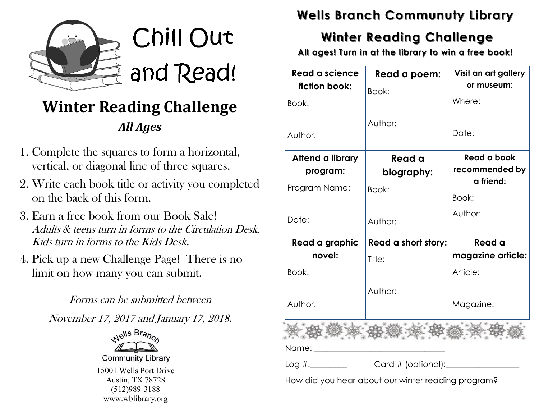

- 1. Complete the squares to form a horizontal, vertical, or diagonal line of three squares.
- 2. Write each book title or activity you completed on the back of this form.
- 3. Earn a free book from our Book Sale! Adults & teens turn in forms to the Circulation Desk. Kids turn in forms to the Kids Desk.
- 4. Pick up a new Challenge Page! There is no limit on how many you can submit.

Forms can be submitted between

November 17, 2017 and January 17, 2018.



**Community Library** 15001 Wells Port Drive Austin, TX 78728 (512)989-3188 www.wblibrary.org

#### **Wells Branch Communuty Library**

#### **Winter Reading Challenge**

**All ages! Turn in at the library to win a free book!**

| <b>Read a science</b><br>fiction book:                                                                         | Read a poem:<br>Book:      | Visit an art gallery<br>or museum:         |
|----------------------------------------------------------------------------------------------------------------|----------------------------|--------------------------------------------|
| Book:                                                                                                          |                            | Where:                                     |
| Author:                                                                                                        | Author:                    | Date:                                      |
| Attend a library<br>program:                                                                                   | Read a<br>biography:       | Read a book<br>recommended by<br>a friend: |
| Program Name:                                                                                                  | Book:                      | Book:                                      |
| Date:                                                                                                          | Author:                    | Author:                                    |
| Read a graphic                                                                                                 | <b>Read a short story:</b> | Read a                                     |
| novel:                                                                                                         | Title:                     | magazine article:                          |
| Book:                                                                                                          |                            | Article:                                   |
|                                                                                                                |                            |                                            |
| Author:                                                                                                        | Author:                    | Magazine:                                  |
|                                                                                                                |                            |                                            |
| Name: when the contract of the contract of the contract of the contract of the contract of the contract of the |                            |                                            |
|                                                                                                                |                            |                                            |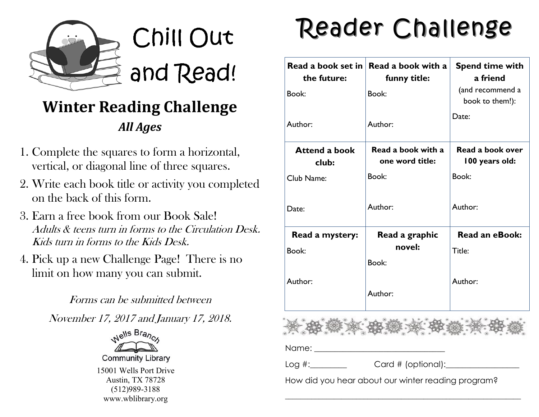

- 1. Complete the squares to form a horizontal, vertical, or diagonal line of three squares.
- 2. Write each book title or activity you completed on the back of this form.
- 3. Earn a free book from our Book Sale! Adults & teens turn in forms to the Circulation Desk. Kids turn in forms to the Kids Desk.
- 4. Pick up a new Challenge Page! There is no limit on how many you can submit.

Forms can be submitted between

November 17, 2017 and January 17, 2018.



**Community Library** 15001 Wells Port Drive Austin, TX 78728 (512)989-3188 www.wblibrary.org

# Reader Challenge

| the future:                   | Read a book set in Read a book with a<br>funny title: | <b>Spend time with</b><br>a friend  |
|-------------------------------|-------------------------------------------------------|-------------------------------------|
| Book:                         | Book:                                                 | (and recommend a<br>book to them!): |
| Author:                       | Author:                                               | Date:                               |
| <b>Attend a book</b><br>club: | Read a book with a<br>one word title:                 | Read a book over<br>100 years old:  |
| Club Name:                    | Book:                                                 | Book:                               |
| Date:                         | Author:                                               | Author:                             |
| Read a mystery:               | Read a graphic                                        | <b>Read an eBook:</b>               |
| Book:                         | novel:                                                | Title:                              |
|                               | Book:                                                 |                                     |
| Author:                       | Author:                                               | Author:                             |
|                               |                                                       |                                     |
|                               |                                                       |                                     |
|                               | Log #: Card # (optional): Log #:                      |                                     |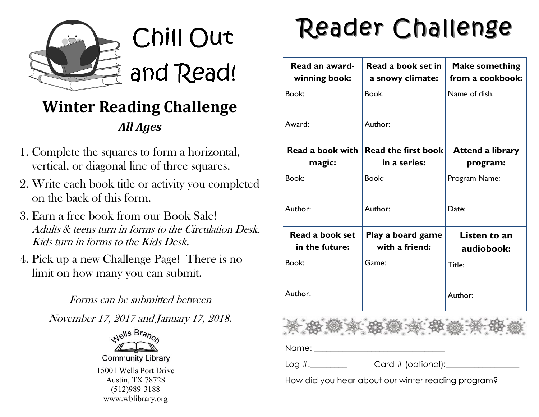

- 1. Complete the squares to form a horizontal, vertical, or diagonal line of three squares.
- 2. Write each book title or activity you completed on the back of this form.
- 3. Earn a free book from our Book Sale! Adults & teens turn in forms to the Circulation Desk. Kids turn in forms to the Kids Desk.
- 4. Pick up a new Challenge Page! There is no limit on how many you can submit.

Forms can be submitted between

November 17, 2017 and January 17, 2018.



**Community Library** 15001 Wells Port Drive Austin, TX 78728 (512)989-3188 www.wblibrary.org

# Reader Challenge

| Read an award-<br>winning book:                    | Read a book set in<br>a snowy climate: | <b>Make something</b><br>from a cookbook: |  |  |
|----------------------------------------------------|----------------------------------------|-------------------------------------------|--|--|
| Book:                                              | Book:                                  | Name of dish:                             |  |  |
| Award:                                             | Author:                                |                                           |  |  |
| Read a book with                                   | Read the first book                    | <b>Attend a library</b>                   |  |  |
| magic:                                             | in a series:                           | program:                                  |  |  |
| Book:                                              | Book:                                  | Program Name:                             |  |  |
| Author:                                            | Author:                                | Date:                                     |  |  |
| <b>Read a book set</b><br>in the future:           | Play a board game<br>with a friend:    | Listen to an<br>audiobook:                |  |  |
| Book:                                              | Game:                                  | Title:                                    |  |  |
| Author:                                            |                                        | Author:                                   |  |  |
|                                                    |                                        |                                           |  |  |
|                                                    |                                        |                                           |  |  |
|                                                    | Log #: Card # (optional): Log #:       |                                           |  |  |
| How did you hear about our winter reading program? |                                        |                                           |  |  |